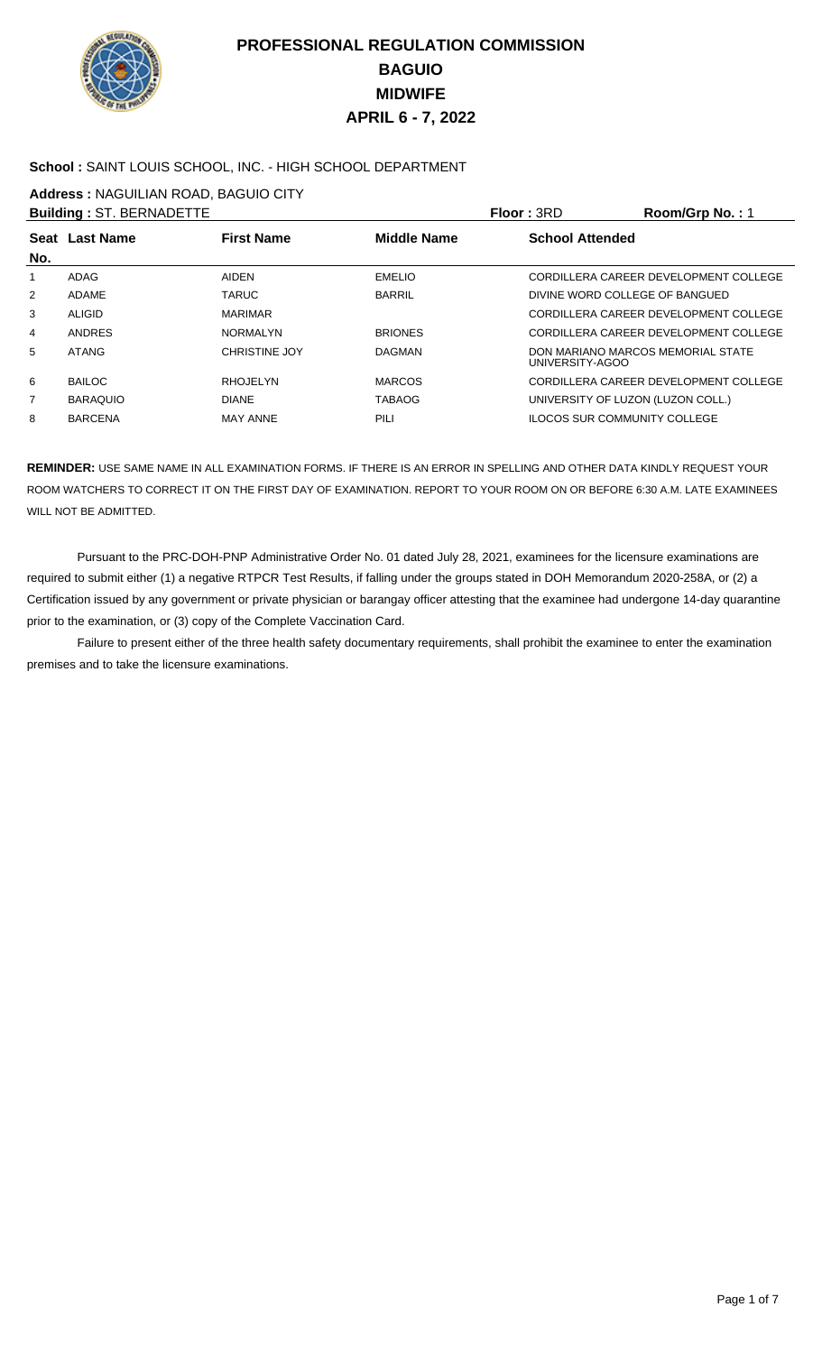

### **School :** SAINT LOUIS SCHOOL, INC. - HIGH SCHOOL DEPARTMENT

**Address :** NAGUILIAN ROAD, BAGUIO CITY

|     | <b>Building: ST. BERNADETTE</b> |                      |                    | <b>Floor: 3RD</b>                   | Room/Grp No.: 1                       |
|-----|---------------------------------|----------------------|--------------------|-------------------------------------|---------------------------------------|
| No. | Seat Last Name                  | <b>First Name</b>    | <b>Middle Name</b> | <b>School Attended</b>              |                                       |
| 1   | ADAG                            | AIDEN                | <b>EMELIO</b>      |                                     | CORDILLERA CAREER DEVELOPMENT COLLEGE |
| 2   | ADAME                           | <b>TARUC</b>         | <b>BARRIL</b>      | DIVINE WORD COLLEGE OF BANGUED      |                                       |
| 3   | <b>ALIGID</b>                   | <b>MARIMAR</b>       |                    |                                     | CORDILLERA CAREER DEVELOPMENT COLLEGE |
| 4   | ANDRES                          | <b>NORMALYN</b>      | <b>BRIONES</b>     |                                     | CORDILLERA CAREER DEVELOPMENT COLLEGE |
| 5   | <b>ATANG</b>                    | <b>CHRISTINE JOY</b> | <b>DAGMAN</b>      | UNIVERSITY-AGOO                     | DON MARIANO MARCOS MEMORIAL STATE     |
| 6   | <b>BAILOC</b>                   | <b>RHOJELYN</b>      | <b>MARCOS</b>      |                                     | CORDILLERA CAREER DEVELOPMENT COLLEGE |
| 7   | <b>BARAQUIO</b>                 | <b>DIANE</b>         | <b>TABAOG</b>      | UNIVERSITY OF LUZON (LUZON COLL.)   |                                       |
| 8   | <b>BARCENA</b>                  | <b>MAY ANNE</b>      | PILI               | <b>ILOCOS SUR COMMUNITY COLLEGE</b> |                                       |
|     |                                 |                      |                    |                                     |                                       |

**REMINDER:** USE SAME NAME IN ALL EXAMINATION FORMS. IF THERE IS AN ERROR IN SPELLING AND OTHER DATA KINDLY REQUEST YOUR ROOM WATCHERS TO CORRECT IT ON THE FIRST DAY OF EXAMINATION. REPORT TO YOUR ROOM ON OR BEFORE 6:30 A.M. LATE EXAMINEES WILL NOT BE ADMITTED.

 Pursuant to the PRC-DOH-PNP Administrative Order No. 01 dated July 28, 2021, examinees for the licensure examinations are required to submit either (1) a negative RTPCR Test Results, if falling under the groups stated in DOH Memorandum 2020-258A, or (2) a Certification issued by any government or private physician or barangay officer attesting that the examinee had undergone 14-day quarantine prior to the examination, or (3) copy of the Complete Vaccination Card.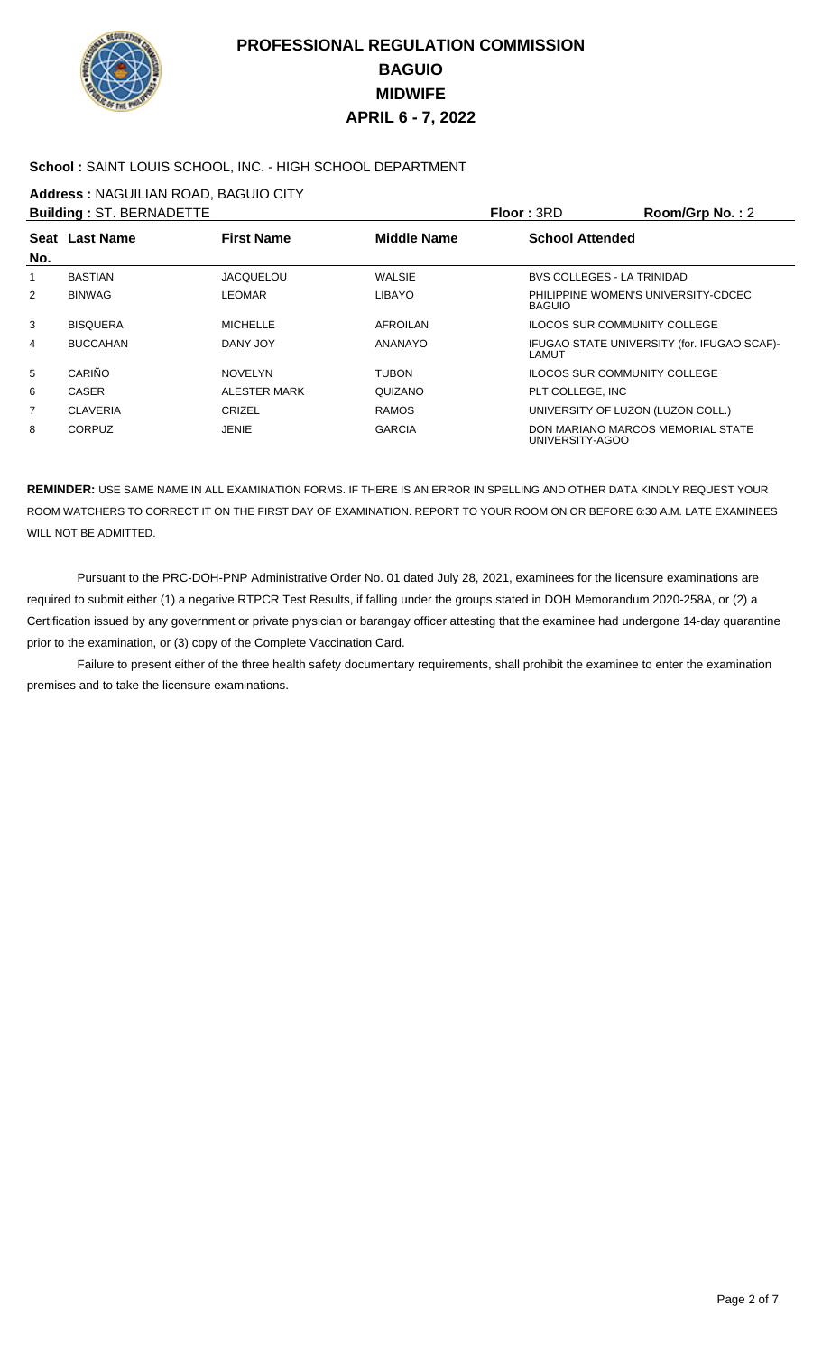

### **School :** SAINT LOUIS SCHOOL, INC. - HIGH SCHOOL DEPARTMENT

**Address :** NAGUILIAN ROAD, BAGUIO CITY

|                | <b>Building: ST. BERNADETTE</b> |                   |                    | Floor: 3RD                                           | Room/Grp No.: 2                             |
|----------------|---------------------------------|-------------------|--------------------|------------------------------------------------------|---------------------------------------------|
|                | Seat Last Name                  | <b>First Name</b> | <b>Middle Name</b> | <b>School Attended</b>                               |                                             |
| No.            |                                 |                   |                    |                                                      |                                             |
| 1              | <b>BASTIAN</b>                  | <b>JACQUELOU</b>  | <b>WALSIE</b>      | <b>BVS COLLEGES - LA TRINIDAD</b>                    |                                             |
| $\overline{2}$ | <b>BINWAG</b>                   | <b>LEOMAR</b>     | <b>LIBAYO</b>      | PHILIPPINE WOMEN'S UNIVERSITY-CDCEC<br><b>BAGUIO</b> |                                             |
| 3              | <b>BISQUERA</b>                 | <b>MICHELLE</b>   | AFROILAN           | ILOCOS SUR COMMUNITY COLLEGE                         |                                             |
| 4              | <b>BUCCAHAN</b>                 | DANY JOY          | ANANAYO            | LAMUT                                                | IFUGAO STATE UNIVERSITY (for. IFUGAO SCAF)- |
| 5              | CARIÑO                          | <b>NOVELYN</b>    | <b>TUBON</b>       | ILOCOS SUR COMMUNITY COLLEGE                         |                                             |
| 6              | CASER                           | ALESTER MARK      | QUIZANO            | PLT COLLEGE. INC                                     |                                             |
| 7              | <b>CLAVERIA</b>                 | CRIZEL            | <b>RAMOS</b>       | UNIVERSITY OF LUZON (LUZON COLL.)                    |                                             |
| 8              | <b>CORPUZ</b>                   | JENIE             | <b>GARCIA</b>      | UNIVERSITY-AGOO                                      | DON MARIANO MARCOS MEMORIAL STATE           |

**REMINDER:** USE SAME NAME IN ALL EXAMINATION FORMS. IF THERE IS AN ERROR IN SPELLING AND OTHER DATA KINDLY REQUEST YOUR ROOM WATCHERS TO CORRECT IT ON THE FIRST DAY OF EXAMINATION. REPORT TO YOUR ROOM ON OR BEFORE 6:30 A.M. LATE EXAMINEES WILL NOT BE ADMITTED.

 Pursuant to the PRC-DOH-PNP Administrative Order No. 01 dated July 28, 2021, examinees for the licensure examinations are required to submit either (1) a negative RTPCR Test Results, if falling under the groups stated in DOH Memorandum 2020-258A, or (2) a Certification issued by any government or private physician or barangay officer attesting that the examinee had undergone 14-day quarantine prior to the examination, or (3) copy of the Complete Vaccination Card.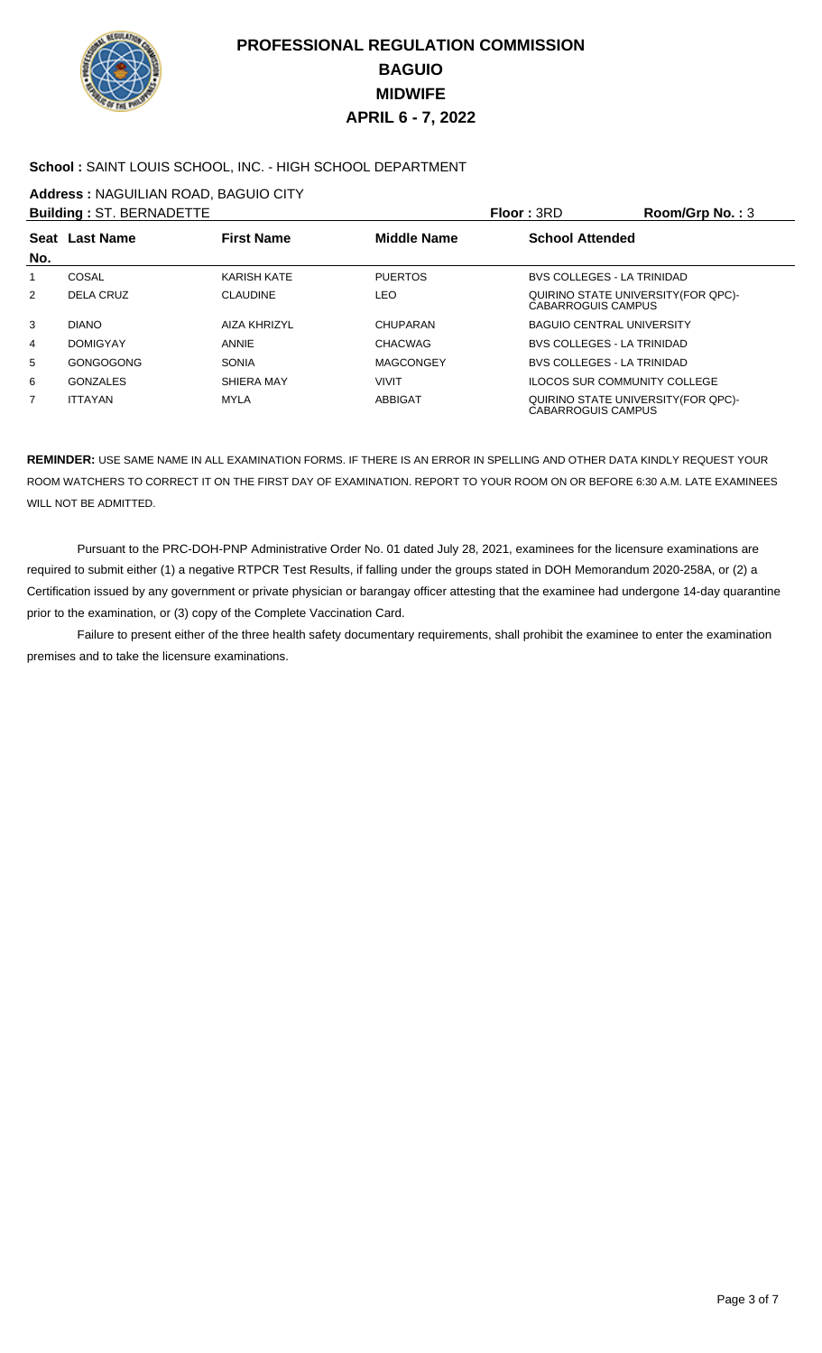

### **School :** SAINT LOUIS SCHOOL, INC. - HIGH SCHOOL DEPARTMENT

**Address :** NAGUILIAN ROAD, BAGUIO CITY

| <b>Building: ST. BERNADETTE</b> |                 |                     |                    | <b>Floor: 3RD</b>         | Room/Grp No.: $3$                   |
|---------------------------------|-----------------|---------------------|--------------------|---------------------------|-------------------------------------|
| No.                             | Seat Last Name  | <b>First Name</b>   | <b>Middle Name</b> | <b>School Attended</b>    |                                     |
| 1                               | COSAL           | KARISH KATE         | <b>PUERTOS</b>     |                           | <b>BVS COLLEGES - LA TRINIDAD</b>   |
| 2                               | DELA CRUZ       | <b>CLAUDINE</b>     | LEO                | CABARROGUIS CAMPUS        | QUIRINO STATE UNIVERSITY (FOR QPC)- |
| 3                               | <b>DIANO</b>    | <b>AIZA KHRIZYL</b> | CHUPARAN           |                           | <b>BAGUIO CENTRAL UNIVERSITY</b>    |
| 4                               | <b>DOMIGYAY</b> | ANNIE               | <b>CHACWAG</b>     |                           | <b>BVS COLLEGES - LA TRINIDAD</b>   |
| 5                               | GONGOGONG       | <b>SONIA</b>        | <b>MAGCONGEY</b>   |                           | <b>BVS COLLEGES - LA TRINIDAD</b>   |
| 6                               | <b>GONZALES</b> | SHIERA MAY          | <b>VIVIT</b>       |                           | <b>ILOCOS SUR COMMUNITY COLLEGE</b> |
| 7                               | <b>ITTAYAN</b>  | MYLA                | <b>ABBIGAT</b>     | <b>CABARROGUIS CAMPUS</b> | QUIRINO STATE UNIVERSITY (FOR QPC)- |

**REMINDER:** USE SAME NAME IN ALL EXAMINATION FORMS. IF THERE IS AN ERROR IN SPELLING AND OTHER DATA KINDLY REQUEST YOUR ROOM WATCHERS TO CORRECT IT ON THE FIRST DAY OF EXAMINATION. REPORT TO YOUR ROOM ON OR BEFORE 6:30 A.M. LATE EXAMINEES WILL NOT BE ADMITTED.

 Pursuant to the PRC-DOH-PNP Administrative Order No. 01 dated July 28, 2021, examinees for the licensure examinations are required to submit either (1) a negative RTPCR Test Results, if falling under the groups stated in DOH Memorandum 2020-258A, or (2) a Certification issued by any government or private physician or barangay officer attesting that the examinee had undergone 14-day quarantine prior to the examination, or (3) copy of the Complete Vaccination Card.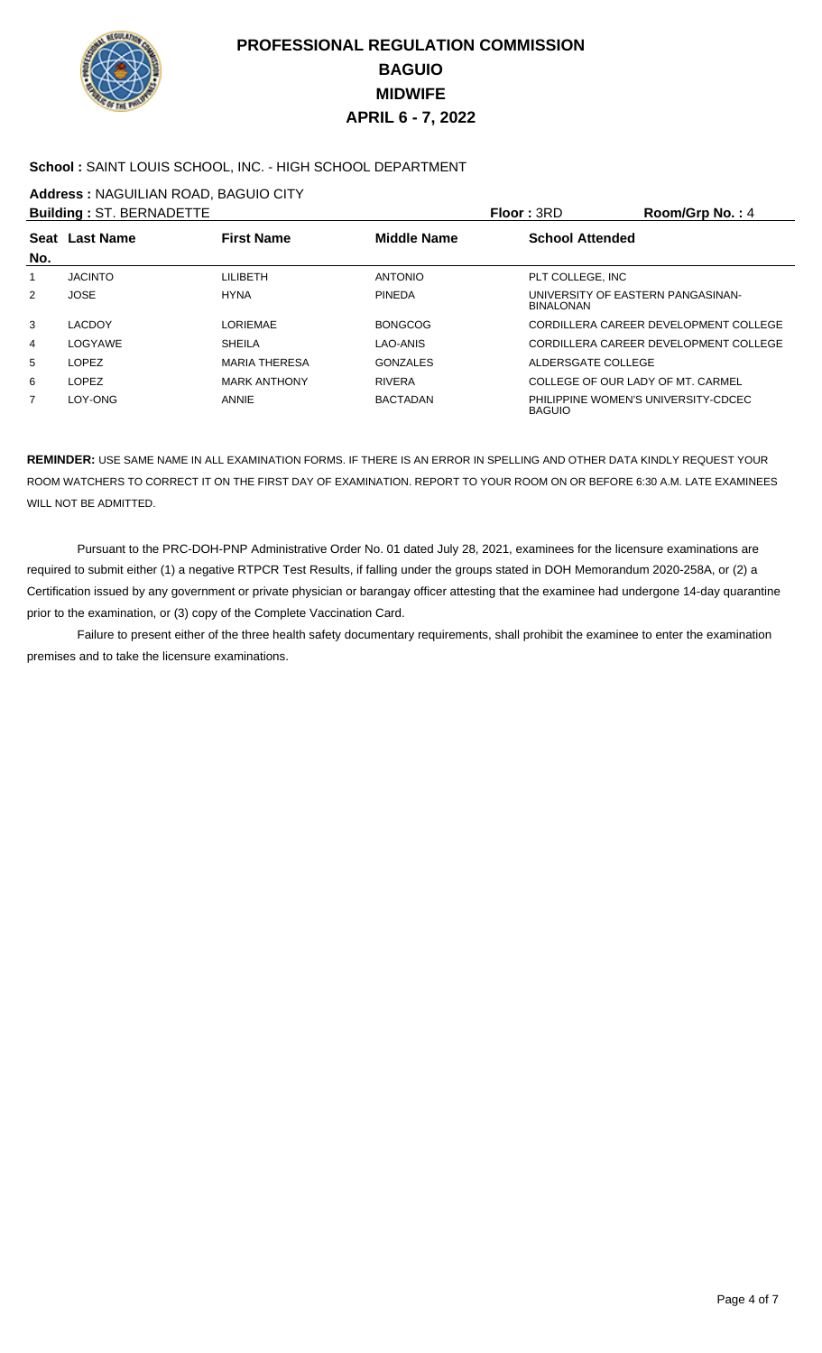

### **School :** SAINT LOUIS SCHOOL, INC. - HIGH SCHOOL DEPARTMENT

**Address :** NAGUILIAN ROAD, BAGUIO CITY

|                | <b>Building: ST. BERNADETTE</b> |                      |                    | <b>Floor: 3RD</b>                                     | Room/Grp No.: 4                       |
|----------------|---------------------------------|----------------------|--------------------|-------------------------------------------------------|---------------------------------------|
| No.            | Seat Last Name                  | <b>First Name</b>    | <b>Middle Name</b> | <b>School Attended</b>                                |                                       |
| 1              | <b>JACINTO</b>                  | LILIBETH             | <b>ANTONIO</b>     | PLT COLLEGE, INC                                      |                                       |
| $\overline{2}$ | <b>JOSE</b>                     | <b>HYNA</b>          | <b>PINEDA</b>      | UNIVERSITY OF EASTERN PANGASINAN-<br><b>BINALONAN</b> |                                       |
| 3              | <b>LACDOY</b>                   | <b>LORIEMAE</b>      | <b>BONGCOG</b>     |                                                       | CORDILLERA CAREER DEVELOPMENT COLLEGE |
| 4              | LOGYAWE                         | <b>SHEILA</b>        | LAO-ANIS           |                                                       | CORDILLERA CAREER DEVELOPMENT COLLEGE |
| 5              | <b>LOPEZ</b>                    | <b>MARIA THERESA</b> | <b>GONZALES</b>    | ALDERSGATE COLLEGE                                    |                                       |
| 6              | <b>LOPEZ</b>                    | <b>MARK ANTHONY</b>  | <b>RIVERA</b>      | COLLEGE OF OUR LADY OF MT. CARMEL                     |                                       |
| 7              | LOY-ONG                         | ANNIE                | <b>BACTADAN</b>    | <b>BAGUIO</b>                                         | PHILIPPINE WOMEN'S UNIVERSITY-CDCEC   |

**REMINDER:** USE SAME NAME IN ALL EXAMINATION FORMS. IF THERE IS AN ERROR IN SPELLING AND OTHER DATA KINDLY REQUEST YOUR ROOM WATCHERS TO CORRECT IT ON THE FIRST DAY OF EXAMINATION. REPORT TO YOUR ROOM ON OR BEFORE 6:30 A.M. LATE EXAMINEES WILL NOT BE ADMITTED.

 Pursuant to the PRC-DOH-PNP Administrative Order No. 01 dated July 28, 2021, examinees for the licensure examinations are required to submit either (1) a negative RTPCR Test Results, if falling under the groups stated in DOH Memorandum 2020-258A, or (2) a Certification issued by any government or private physician or barangay officer attesting that the examinee had undergone 14-day quarantine prior to the examination, or (3) copy of the Complete Vaccination Card.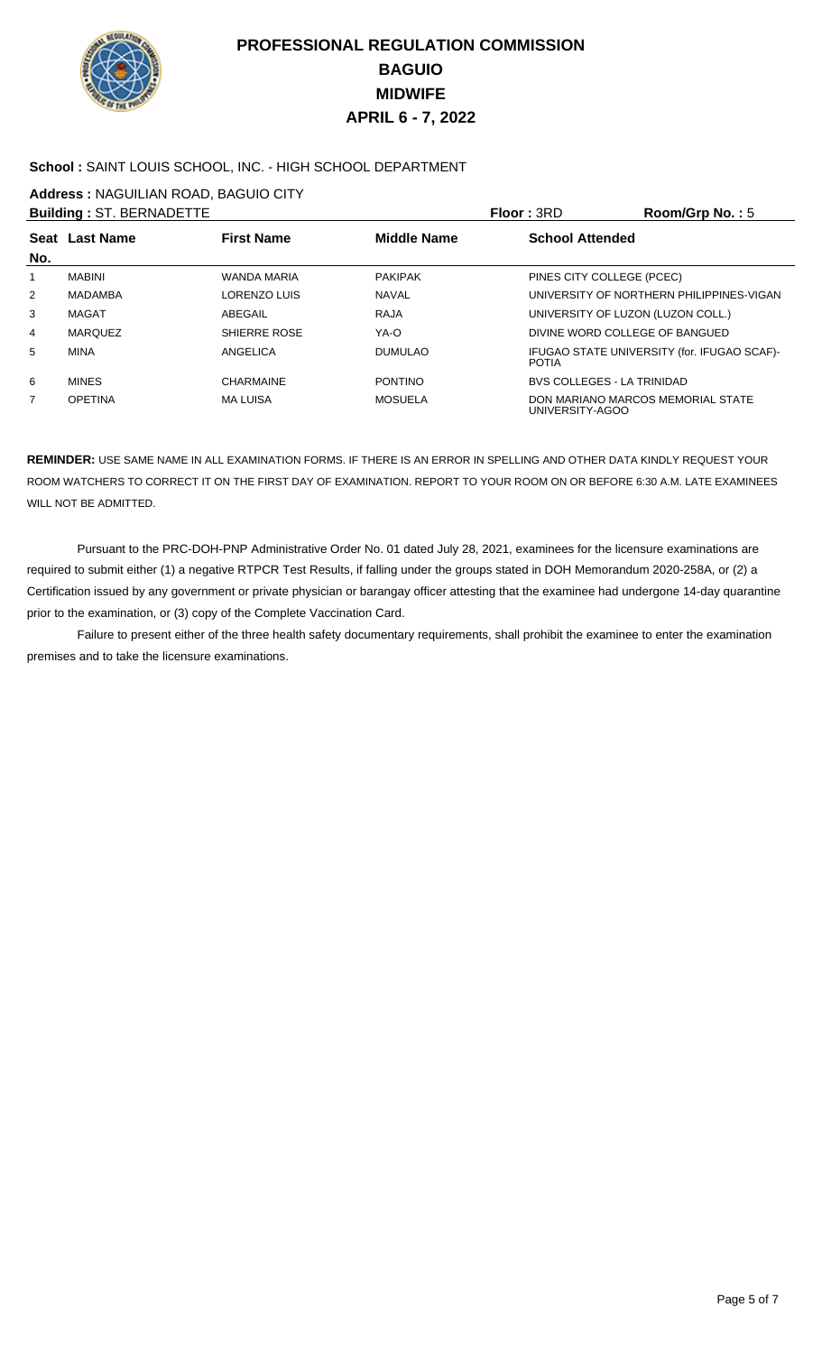

### **School :** SAINT LOUIS SCHOOL, INC. - HIGH SCHOOL DEPARTMENT

**Address :** NAGUILIAN ROAD, BAGUIO CITY

|     | <b>Building: ST. BERNADETTE</b> |                    |                    | <b>Floor: 3RD</b>                 | Room/Grp No.: $5$                           |
|-----|---------------------------------|--------------------|--------------------|-----------------------------------|---------------------------------------------|
|     | Seat Last Name                  | <b>First Name</b>  | <b>Middle Name</b> | <b>School Attended</b>            |                                             |
| No. |                                 |                    |                    |                                   |                                             |
|     | MABINI                          | <b>WANDA MARIA</b> | <b>PAKIPAK</b>     | PINES CITY COLLEGE (PCEC)         |                                             |
| 2   | <b>MADAMBA</b>                  | LORENZO LUIS       | <b>NAVAL</b>       |                                   | UNIVERSITY OF NORTHERN PHILIPPINES-VIGAN    |
| 3   | MAGAT                           | ABEGAIL            | RAJA               | UNIVERSITY OF LUZON (LUZON COLL.) |                                             |
| 4   | <b>MARQUEZ</b>                  | SHIERRE ROSE       | YA-O               | DIVINE WORD COLLEGE OF BANGUED    |                                             |
| 5   | <b>MINA</b>                     | ANGELICA           | <b>DUMULAO</b>     | <b>POTIA</b>                      | IFUGAO STATE UNIVERSITY (for. IFUGAO SCAF)- |
| 6   | <b>MINES</b>                    | <b>CHARMAINE</b>   | <b>PONTINO</b>     | <b>BVS COLLEGES - LA TRINIDAD</b> |                                             |
| 7   | <b>OPETINA</b>                  | <b>MA LUISA</b>    | <b>MOSUELA</b>     | UNIVERSITY-AGOO                   | DON MARIANO MARCOS MEMORIAL STATE           |

**REMINDER:** USE SAME NAME IN ALL EXAMINATION FORMS. IF THERE IS AN ERROR IN SPELLING AND OTHER DATA KINDLY REQUEST YOUR ROOM WATCHERS TO CORRECT IT ON THE FIRST DAY OF EXAMINATION. REPORT TO YOUR ROOM ON OR BEFORE 6:30 A.M. LATE EXAMINEES WILL NOT BE ADMITTED.

 Pursuant to the PRC-DOH-PNP Administrative Order No. 01 dated July 28, 2021, examinees for the licensure examinations are required to submit either (1) a negative RTPCR Test Results, if falling under the groups stated in DOH Memorandum 2020-258A, or (2) a Certification issued by any government or private physician or barangay officer attesting that the examinee had undergone 14-day quarantine prior to the examination, or (3) copy of the Complete Vaccination Card.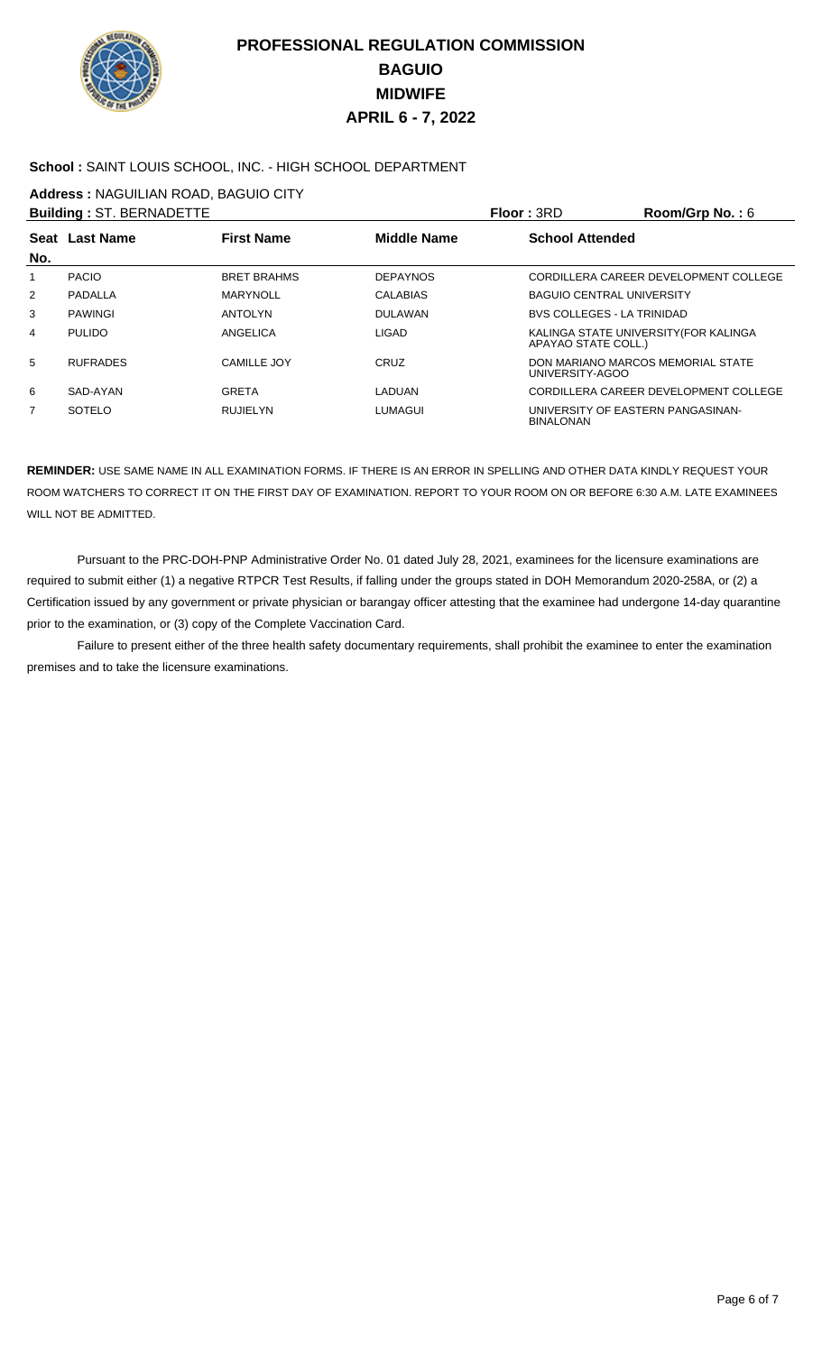

### **School :** SAINT LOUIS SCHOOL, INC. - HIGH SCHOOL DEPARTMENT

**Address :** NAGUILIAN ROAD, BAGUIO CITY

|                | <b>Building: ST. BERNADETTE</b> |                    |                 | Floor: 3RD                                            | Room/Grp No.: 6                       |
|----------------|---------------------------------|--------------------|-----------------|-------------------------------------------------------|---------------------------------------|
| No.            | <b>Seat Last Name</b>           | <b>First Name</b>  | Middle Name     | <b>School Attended</b>                                |                                       |
| 1              | <b>PACIO</b>                    | <b>BRET BRAHMS</b> | <b>DEPAYNOS</b> |                                                       | CORDILLERA CAREER DEVELOPMENT COLLEGE |
| $\overline{2}$ | PADALLA                         | <b>MARYNOLL</b>    | <b>CALABIAS</b> | <b>BAGUIO CENTRAL UNIVERSITY</b>                      |                                       |
| 3              | <b>PAWINGI</b>                  | <b>ANTOLYN</b>     | <b>DULAWAN</b>  | <b>BVS COLLEGES - LA TRINIDAD</b>                     |                                       |
| 4              | <b>PULIDO</b>                   | ANGELICA           | LIGAD           | APAYAO STATE COLL.)                                   | KALINGA STATE UNIVERSITY (FOR KALINGA |
| 5              | <b>RUFRADES</b>                 | CAMILLE JOY        | CRUZ            | DON MARIANO MARCOS MEMORIAL STATE<br>UNIVERSITY-AGOO  |                                       |
| 6              | SAD-AYAN                        | <b>GRETA</b>       | LADUAN          |                                                       | CORDILLERA CAREER DEVELOPMENT COLLEGE |
| 7              | <b>SOTELO</b>                   | <b>RUJIELYN</b>    | <b>LUMAGUI</b>  | UNIVERSITY OF EASTERN PANGASINAN-<br><b>BINALONAN</b> |                                       |

**REMINDER:** USE SAME NAME IN ALL EXAMINATION FORMS. IF THERE IS AN ERROR IN SPELLING AND OTHER DATA KINDLY REQUEST YOUR ROOM WATCHERS TO CORRECT IT ON THE FIRST DAY OF EXAMINATION. REPORT TO YOUR ROOM ON OR BEFORE 6:30 A.M. LATE EXAMINEES WILL NOT BE ADMITTED.

 Pursuant to the PRC-DOH-PNP Administrative Order No. 01 dated July 28, 2021, examinees for the licensure examinations are required to submit either (1) a negative RTPCR Test Results, if falling under the groups stated in DOH Memorandum 2020-258A, or (2) a Certification issued by any government or private physician or barangay officer attesting that the examinee had undergone 14-day quarantine prior to the examination, or (3) copy of the Complete Vaccination Card.